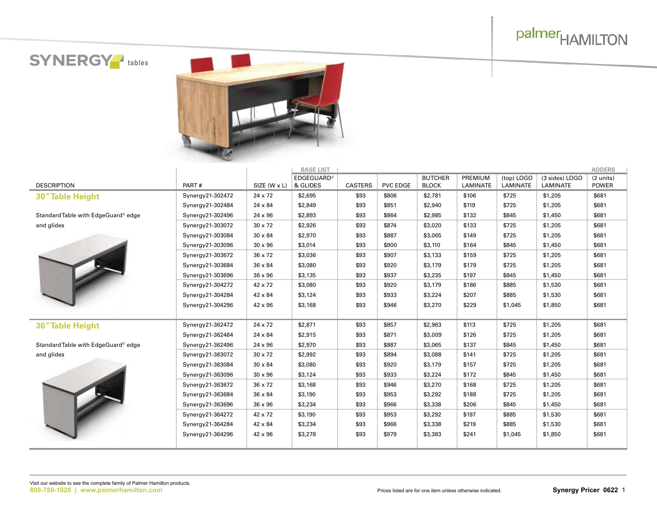# palmer<sub>HAMILTON</sub>

**SYNERGY** tables



|                                     |                  |                | <b>BASE LIST</b>  |                |                 |                |          |            |                | <b>ADDERS</b> |
|-------------------------------------|------------------|----------------|-------------------|----------------|-----------------|----------------|----------|------------|----------------|---------------|
|                                     |                  |                | <b>EDGEGUARD®</b> |                |                 | <b>BUTCHER</b> | PREMIUM  | (top) LOGO | (3 sides) LOGO | (2 units)     |
| <b>DESCRIPTION</b>                  | PART#            | SIZE (W x L)   | & GLIDES          | <b>CASTERS</b> | <b>PVC EDGE</b> | <b>BLOCK</b>   | LAMINATE | LAMINATE   | LAMINATE       | POWER         |
| 30" Table Height                    | Synergy21-302472 | $24 \times 72$ | \$2,695           | \$93           | \$806           | \$2,781        | \$106    | \$725      | \$1,205        | \$681         |
|                                     | Synergy21-302484 | 24 x 84        | \$2,849           | \$93           | \$851           | \$2,940        | \$119    | \$725      | \$1,205        | \$681         |
| Standard Table with EdgeGuard® edge | Synergy21-302496 | $24 \times 96$ | \$2,893           | \$93           | \$864           | \$2,985        | \$132    | \$845      | \$1,450        | \$681         |
| and glides                          | Synergy21-303072 | $30 \times 72$ | \$2,926           | \$93           | \$874           | \$3,020        | \$133    | \$725      | \$1,205        | \$681         |
|                                     | Synergy21-303084 | $30 \times 84$ | \$2,970           | \$93           | \$887           | \$3,065        | \$149    | \$725      | \$1,205        | \$681         |
|                                     | Synergy21-303096 | $30 \times 96$ | \$3,014           | \$93           | \$900           | \$3,110        | \$164    | \$845      | \$1,450        | \$681         |
|                                     | Synergy21-303672 | $36 \times 72$ | \$3,036           | \$93           | \$907           | \$3,133        | \$159    | \$725      | \$1,205        | \$681         |
|                                     | Synergy21-303684 | 36 x 84        | \$3,080           | \$93           | \$920           | \$3,179        | \$179    | \$725      | \$1,205        | \$681         |
|                                     | Synergy21-303696 | $36 \times 96$ | \$3,135           | \$93           | \$937           | \$3,235        | \$197    | \$845      | \$1,450        | \$681         |
|                                     | Synergy21-304272 | $42 \times 72$ | \$3,080           | \$93           | \$920           | \$3,179        | \$186    | \$885      | \$1,530        | \$681         |
|                                     | Synergy21-304284 | 42 x 84        | \$3,124           | \$93           | \$933           | \$3,224        | \$207    | \$885      | \$1,530        | \$681         |
|                                     | Synergy21-304296 | $42 \times 96$ | \$3,168           | \$93           | \$946           | \$3,270        | \$229    | \$1,045    | \$1,850        | \$681         |
|                                     |                  |                |                   |                |                 |                |          |            |                |               |
| 36" Table Height                    | Synergy21-362472 | $24 \times 72$ | \$2,871           | \$93           | \$857           | \$2,963        | \$113    | \$725      | \$1,205        | \$681         |
|                                     | Synergy21-362484 | 24 x 84        | \$2,915           | \$93           | \$871           | \$3,009        | \$126    | \$725      | \$1,205        | \$681         |
| Standard Table with EdgeGuard® edge | Synergy21-362496 | $24 \times 96$ | \$2,970           | \$93           | \$887           | \$3,065        | \$137    | \$845      | \$1,450        | \$681         |
| and glides                          | Synergy21-363072 | $30 \times 72$ | \$2,992           | \$93           | \$894           | \$3,088        | \$141    | \$725      | \$1,205        | \$681         |
|                                     | Synergy21-363084 | $30 \times 84$ | \$3,080           | \$93           | \$920           | \$3,179        | \$157    | \$725      | \$1,205        | \$681         |
|                                     | Synergy21-363096 | $30 \times 96$ | \$3,124           | \$93           | \$933           | \$3,224        | \$172    | \$845      | \$1,450        | \$681         |
|                                     | Synergy21-363672 | $36 \times 72$ | \$3,168           | \$93           | \$946           | \$3,270        | \$168    | \$725      | \$1,205        | \$681         |
|                                     | Synergy21-363684 | $36 \times 84$ | \$3,190           | \$93           | \$953           | \$3,292        | \$188    | \$725      | \$1,205        | \$681         |
|                                     | Synergy21-363696 | $36 \times 96$ | \$3,234           | \$93           | \$966           | \$3,338        | \$206    | \$845      | \$1,450        | \$681         |
|                                     | Synergy21-364272 | 42 x 72        | \$3,190           | \$93           | \$953           | \$3,292        | \$197    | \$885      | \$1,530        | \$681         |
|                                     | Synergy21-364284 | 42 x 84        | \$3,234           | \$93           | \$966           | \$3,338        | \$219    | \$885      | \$1,530        | \$681         |
|                                     | Synergy21-364296 | 42 x 96        | \$3,278           | \$93           | \$979           | \$3,383        | \$241    | \$1,045    | \$1,850        | \$681         |
|                                     |                  |                |                   |                |                 |                |          |            |                |               |